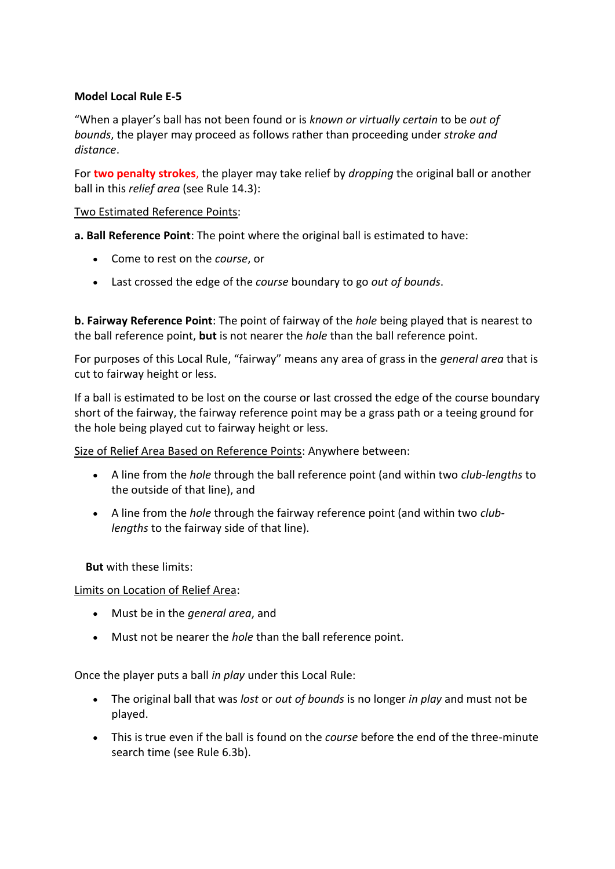## **Model Local Rule E-5**

"When a player's ball has not been found or is *known or virtually certain* to be *out of bounds*, the player may proceed as follows rather than proceeding under *stroke and distance*.

For **two penalty strokes**, the player may take relief by *dropping* the original ball or another ball in this *relief area* (see Rule 14.3):

## Two Estimated Reference Points:

**a. Ball Reference Point**: The point where the original ball is estimated to have:

- Come to rest on the *course*, or
- Last crossed the edge of the *course* boundary to go *out of bounds*.

**b. Fairway Reference Point**: The point of fairway of the *hole* being played that is nearest to the ball reference point, **but** is not nearer the *hole* than the ball reference point.

For purposes of this Local Rule, "fairway" means any area of grass in the *general area* that is cut to fairway height or less.

If a ball is estimated to be lost on the course or last crossed the edge of the course boundary short of the fairway, the fairway reference point may be a grass path or a teeing ground for the hole being played cut to fairway height or less.

Size of Relief Area Based on Reference Points: Anywhere between:

- A line from the *hole* through the ball reference point (and within two *club-lengths* to the outside of that line), and
- A line from the *hole* through the fairway reference point (and within two *clublengths* to the fairway side of that line).

**But** with these limits:

Limits on Location of Relief Area:

- Must be in the *general area*, and
- Must not be nearer the *hole* than the ball reference point.

Once the player puts a ball *in play* under this Local Rule:

- The original ball that was *lost* or *out of bounds* is no longer *in play* and must not be played.
- This is true even if the ball is found on the *course* before the end of the three-minute search time (see Rule 6.3b).